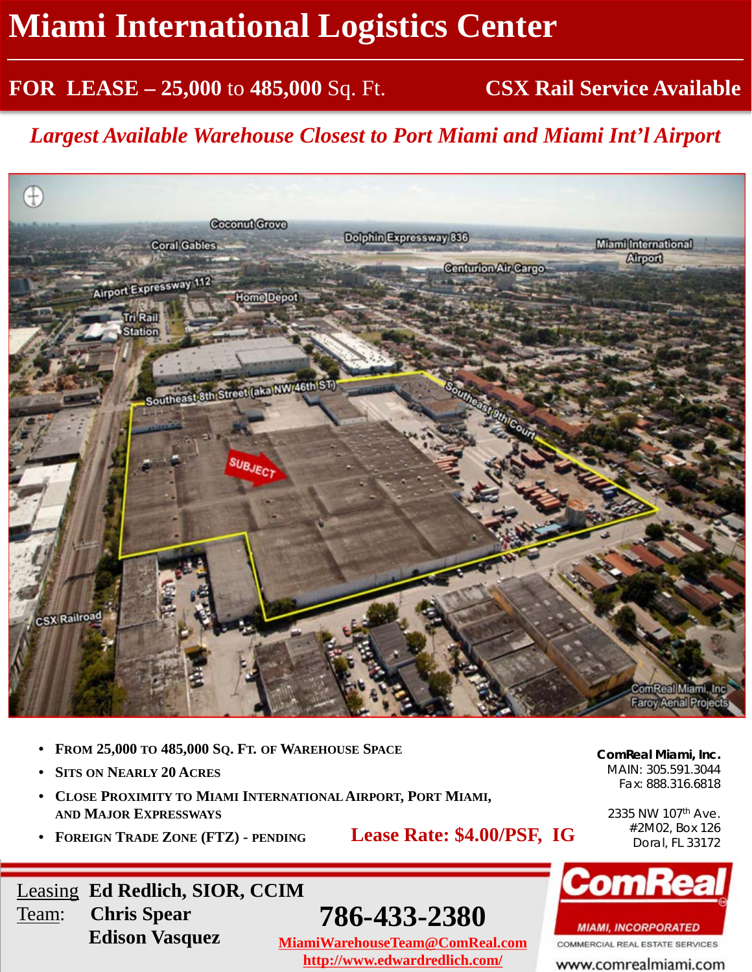## **Miami International Logistics Center**

#### **FOR LEASE – 25,000** to **485,000** Sq. Ft. **CSX Rail Service Available**

*Largest Available Warehouse Closest to Port Miami and Miami Int'l Airport*



- **FROM 25,000 TO 485,000 SQ. FT. OF WAREHOUSE SPACE**
- **SITS ON NEARLY 20 ACRES**

Team: **Chris Spear**

- **CLOSE PROXIMITY TO MIAMI INTERNATIONALAIRPORT, PORT MIAMI, AND MAJOR EXPRESSWAYS**
- **FOREIGN TRADE ZONE (FTZ) - PENDING**

Leasing **Ed Redlich, SIOR, CCIM**

**Edison Vasquez**

**Lease Rate: \$4.00/PSF, IG**

**786-433-2380**

**MiamiWarehouseTeam@ComReal.com http://www.edwardredlich.com/**

**ComReal Miami, Inc.** MAIN: 305.591.3044 Fax: 888.316.6818

2335 NW 107th Ave. #2M02, Box 126 Doral, FL 33172



**MIAMI, INCORPORATED** 

COMMERCIAL REAL ESTATE SERVICES

www.comrealmiami.com